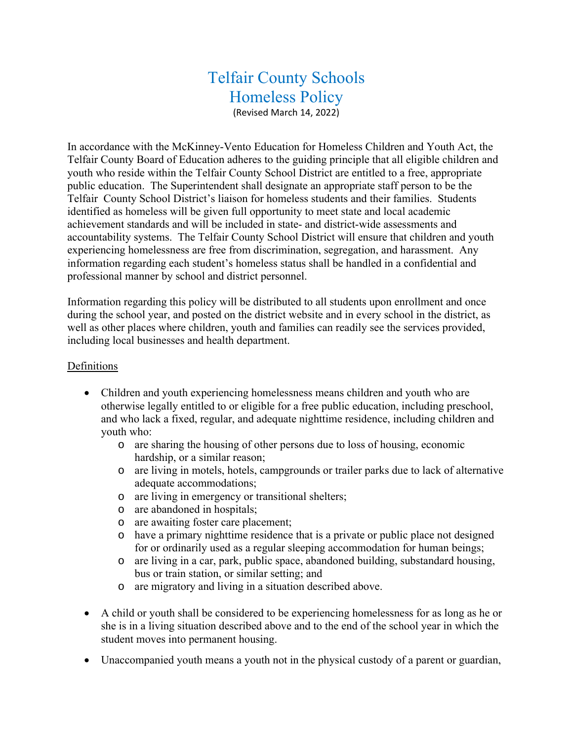# Telfair County Schools Homeless Policy

(Revised March 14, 2022)

In accordance with the McKinney-Vento Education for Homeless Children and Youth Act, the Telfair County Board of Education adheres to the guiding principle that all eligible children and youth who reside within the Telfair County School District are entitled to a free, appropriate public education. The Superintendent shall designate an appropriate staff person to be the Telfair County School District's liaison for homeless students and their families. Students identified as homeless will be given full opportunity to meet state and local academic achievement standards and will be included in state- and district-wide assessments and accountability systems. The Telfair County School District will ensure that children and youth experiencing homelessness are free from discrimination, segregation, and harassment. Any information regarding each student's homeless status shall be handled in a confidential and professional manner by school and district personnel.

Information regarding this policy will be distributed to all students upon enrollment and once during the school year, and posted on the district website and in every school in the district, as well as other places where children, youth and families can readily see the services provided, including local businesses and health department.

#### Definitions

- Children and youth experiencing homelessness means children and youth who are otherwise legally entitled to or eligible for a free public education, including preschool, and who lack a fixed, regular, and adequate nighttime residence, including children and youth who:
	- o are sharing the housing of other persons due to loss of housing, economic hardship, or a similar reason;
	- o are living in motels, hotels, campgrounds or trailer parks due to lack of alternative adequate accommodations;
	- o are living in emergency or transitional shelters;
	- o are abandoned in hospitals;
	- o are awaiting foster care placement;
	- o have a primary nighttime residence that is a private or public place not designed for or ordinarily used as a regular sleeping accommodation for human beings;
	- o are living in a car, park, public space, abandoned building, substandard housing, bus or train station, or similar setting; and
	- o are migratory and living in a situation described above.
- A child or youth shall be considered to be experiencing homelessness for as long as he or she is in a living situation described above and to the end of the school year in which the student moves into permanent housing.
- Unaccompanied youth means a youth not in the physical custody of a parent or guardian,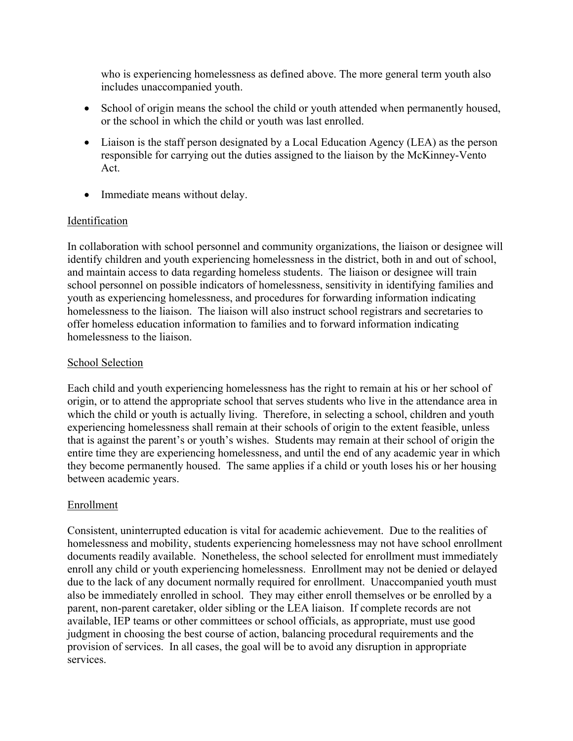who is experiencing homelessness as defined above. The more general term youth also includes unaccompanied youth.

- School of origin means the school the child or youth attended when permanently housed, or the school in which the child or youth was last enrolled.
- Liaison is the staff person designated by a Local Education Agency (LEA) as the person responsible for carrying out the duties assigned to the liaison by the McKinney-Vento Act.
- Immediate means without delay.

# Identification

In collaboration with school personnel and community organizations, the liaison or designee will identify children and youth experiencing homelessness in the district, both in and out of school, and maintain access to data regarding homeless students. The liaison or designee will train school personnel on possible indicators of homelessness, sensitivity in identifying families and youth as experiencing homelessness, and procedures for forwarding information indicating homelessness to the liaison. The liaison will also instruct school registrars and secretaries to offer homeless education information to families and to forward information indicating homelessness to the liaison.

# School Selection

Each child and youth experiencing homelessness has the right to remain at his or her school of origin, or to attend the appropriate school that serves students who live in the attendance area in which the child or youth is actually living. Therefore, in selecting a school, children and youth experiencing homelessness shall remain at their schools of origin to the extent feasible, unless that is against the parent's or youth's wishes. Students may remain at their school of origin the entire time they are experiencing homelessness, and until the end of any academic year in which they become permanently housed. The same applies if a child or youth loses his or her housing between academic years.

# Enrollment

Consistent, uninterrupted education is vital for academic achievement. Due to the realities of homelessness and mobility, students experiencing homelessness may not have school enrollment documents readily available. Nonetheless, the school selected for enrollment must immediately enroll any child or youth experiencing homelessness. Enrollment may not be denied or delayed due to the lack of any document normally required for enrollment. Unaccompanied youth must also be immediately enrolled in school. They may either enroll themselves or be enrolled by a parent, non-parent caretaker, older sibling or the LEA liaison. If complete records are not available, IEP teams or other committees or school officials, as appropriate, must use good judgment in choosing the best course of action, balancing procedural requirements and the provision of services. In all cases, the goal will be to avoid any disruption in appropriate services.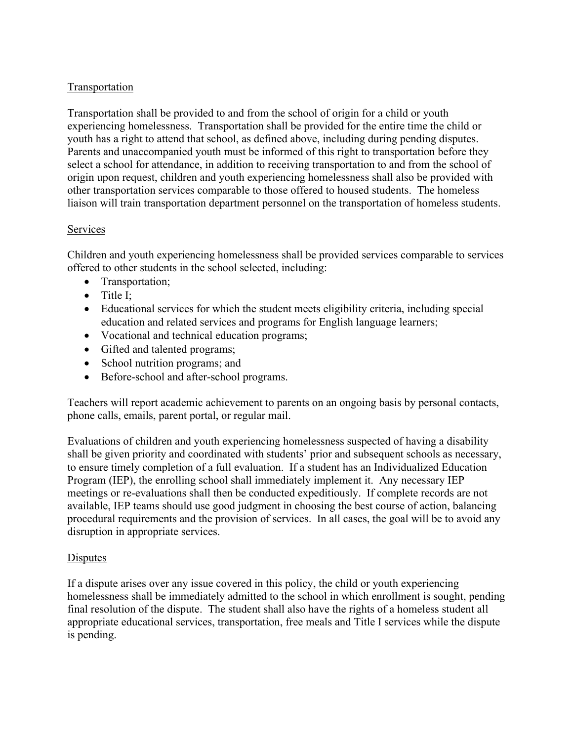# Transportation

Transportation shall be provided to and from the school of origin for a child or youth experiencing homelessness. Transportation shall be provided for the entire time the child or youth has a right to attend that school, as defined above, including during pending disputes. Parents and unaccompanied youth must be informed of this right to transportation before they select a school for attendance, in addition to receiving transportation to and from the school of origin upon request, children and youth experiencing homelessness shall also be provided with other transportation services comparable to those offered to housed students. The homeless liaison will train transportation department personnel on the transportation of homeless students.

# Services

Children and youth experiencing homelessness shall be provided services comparable to services offered to other students in the school selected, including:

- Transportation;
- Title I:
- Educational services for which the student meets eligibility criteria, including special education and related services and programs for English language learners;
- Vocational and technical education programs;
- Gifted and talented programs;
- School nutrition programs; and
- Before-school and after-school programs.

Teachers will report academic achievement to parents on an ongoing basis by personal contacts, phone calls, emails, parent portal, or regular mail.

Evaluations of children and youth experiencing homelessness suspected of having a disability shall be given priority and coordinated with students' prior and subsequent schools as necessary, to ensure timely completion of a full evaluation. If a student has an Individualized Education Program (IEP), the enrolling school shall immediately implement it. Any necessary IEP meetings or re-evaluations shall then be conducted expeditiously. If complete records are not available, IEP teams should use good judgment in choosing the best course of action, balancing procedural requirements and the provision of services. In all cases, the goal will be to avoid any disruption in appropriate services.

# Disputes

If a dispute arises over any issue covered in this policy, the child or youth experiencing homelessness shall be immediately admitted to the school in which enrollment is sought, pending final resolution of the dispute. The student shall also have the rights of a homeless student all appropriate educational services, transportation, free meals and Title I services while the dispute is pending.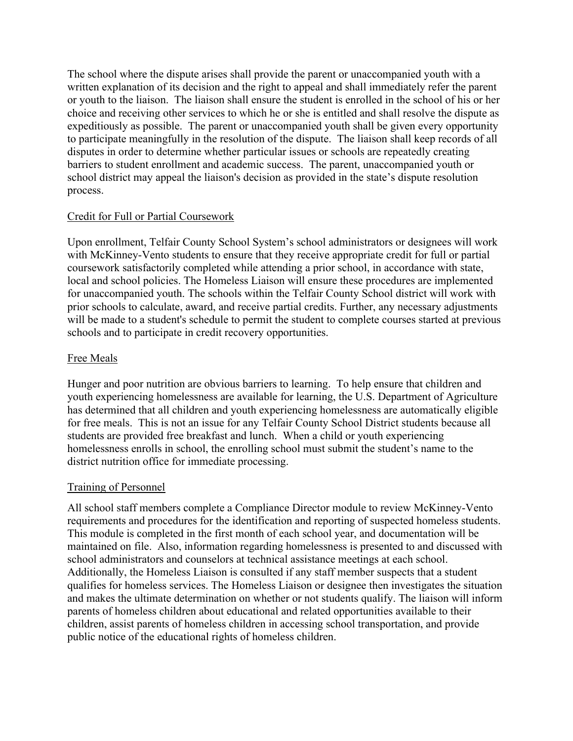The school where the dispute arises shall provide the parent or unaccompanied youth with a written explanation of its decision and the right to appeal and shall immediately refer the parent or youth to the liaison. The liaison shall ensure the student is enrolled in the school of his or her choice and receiving other services to which he or she is entitled and shall resolve the dispute as expeditiously as possible. The parent or unaccompanied youth shall be given every opportunity to participate meaningfully in the resolution of the dispute. The liaison shall keep records of all disputes in order to determine whether particular issues or schools are repeatedly creating barriers to student enrollment and academic success. The parent, unaccompanied youth or school district may appeal the liaison's decision as provided in the state's dispute resolution process.

#### Credit for Full or Partial Coursework

Upon enrollment, Telfair County School System's school administrators or designees will work with McKinney-Vento students to ensure that they receive appropriate credit for full or partial coursework satisfactorily completed while attending a prior school, in accordance with state, local and school policies. The Homeless Liaison will ensure these procedures are implemented for unaccompanied youth. The schools within the Telfair County School district will work with prior schools to calculate, award, and receive partial credits. Further, any necessary adjustments will be made to a student's schedule to permit the student to complete courses started at previous schools and to participate in credit recovery opportunities.

#### Free Meals

Hunger and poor nutrition are obvious barriers to learning. To help ensure that children and youth experiencing homelessness are available for learning, the U.S. Department of Agriculture has determined that all children and youth experiencing homelessness are automatically eligible for free meals. This is not an issue for any Telfair County School District students because all students are provided free breakfast and lunch. When a child or youth experiencing homelessness enrolls in school, the enrolling school must submit the student's name to the district nutrition office for immediate processing.

#### Training of Personnel

All school staff members complete a Compliance Director module to review McKinney-Vento requirements and procedures for the identification and reporting of suspected homeless students. This module is completed in the first month of each school year, and documentation will be maintained on file. Also, information regarding homelessness is presented to and discussed with school administrators and counselors at technical assistance meetings at each school. Additionally, the Homeless Liaison is consulted if any staff member suspects that a student qualifies for homeless services. The Homeless Liaison or designee then investigates the situation and makes the ultimate determination on whether or not students qualify. The liaison will inform parents of homeless children about educational and related opportunities available to their children, assist parents of homeless children in accessing school transportation, and provide public notice of the educational rights of homeless children.